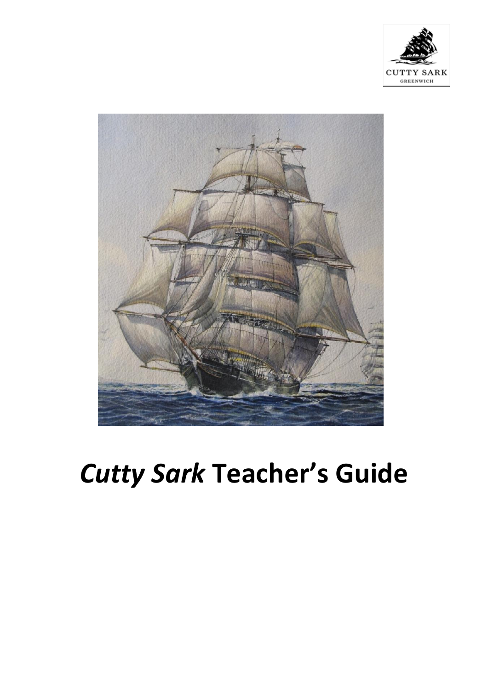



# *Cutty Sark* **Teacher's Guide**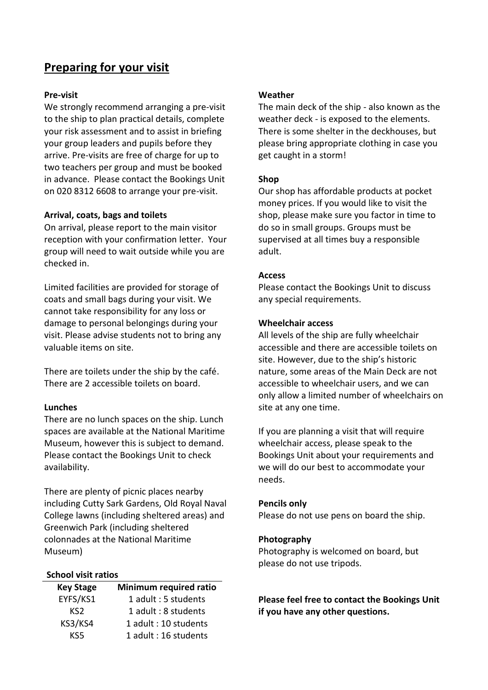# **Preparing for your visit**

#### **Pre-visit**

We strongly recommend arranging a pre-visit to the ship to plan practical details, complete your risk assessment and to assist in briefing your group leaders and pupils before they arrive. Pre-visits are free of charge for up to two teachers per group and must be booked in advance. Please contact the Bookings Unit on 020 8312 6608 to arrange your pre-visit.

#### **Arrival, coats, bags and toilets**

On arrival, please report to the main visitor reception with your confirmation letter. Your group will need to wait outside while you are checked in.

Limited facilities are provided for storage of coats and small bags during your visit. We cannot take responsibility for any loss or damage to personal belongings during your visit. Please advise students not to bring any valuable items on site.

There are toilets under the ship by the café. There are 2 accessible toilets on board.

#### **Lunches**

There are no lunch spaces on the ship. Lunch spaces are available at the National Maritime Museum, however this is subject to demand. Please contact the Bookings Unit to check availability.

There are plenty of picnic places nearby including Cutty Sark Gardens, Old Royal Naval College lawns (including sheltered areas) and Greenwich Park (including sheltered colonnades at the National Maritime Museum)

#### **School visit ratios**

| <b>Key Stage</b> | Minimum required ratio |
|------------------|------------------------|
| EYFS/KS1         | 1 adult: 5 students    |
| KS <sub>2</sub>  | 1 adult: 8 students    |
| KS3/KS4          | 1 adult: 10 students   |
| KS5              | 1 adult: 16 students   |

#### **Weather**

The main deck of the ship - also known as the weather deck - is exposed to the elements. There is some shelter in the deckhouses, but please bring appropriate clothing in case you get caught in a storm!

#### **Shop**

Our shop has affordable products at pocket money prices. If you would like to visit the shop, please make sure you factor in time to do so in small groups. Groups must be supervised at all times buy a responsible adult.

#### **Access**

Please contact the Bookings Unit to discuss any special requirements.

#### **Wheelchair access**

All levels of the ship are fully wheelchair accessible and there are accessible toilets on site. However, due to the ship's historic nature, some areas of the Main Deck are not accessible to wheelchair users, and we can only allow a limited number of wheelchairs on site at any one time.

If you are planning a visit that will require wheelchair access, please speak to the Bookings Unit about your requirements and we will do our best to accommodate your needs.

#### **Pencils only**

Please do not use pens on board the ship.

#### **Photography**

Photography is welcomed on board, but please do not use tripods.

#### **Please feel free to contact the Bookings Unit if you have any other questions.**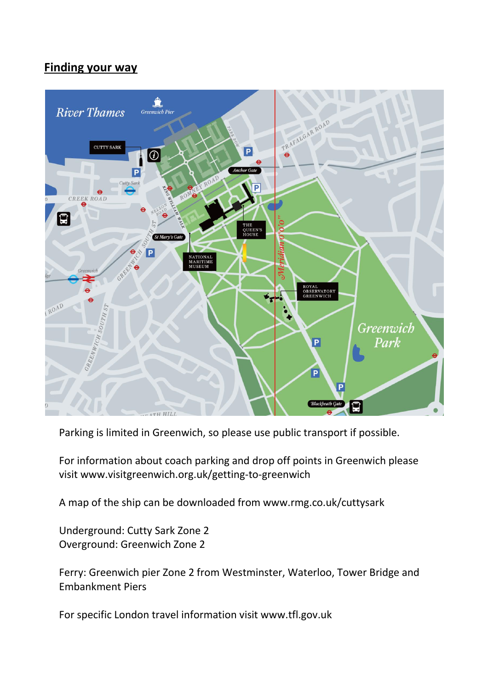## **Finding your way**



Parking is limited in Greenwich, so please use public transport if possible.

For information about coach parking and drop off points in Greenwich please visit www.visitgreenwich.org.uk/getting-to-greenwich

A map of the ship can be downloaded from www.rmg.co.uk/cuttysark

Underground: Cutty Sark Zone 2 Overground: Greenwich Zone 2

Ferry: Greenwich pier Zone 2 from Westminster, Waterloo, Tower Bridge and Embankment Piers

For specific London travel information visit www.tfl.gov.uk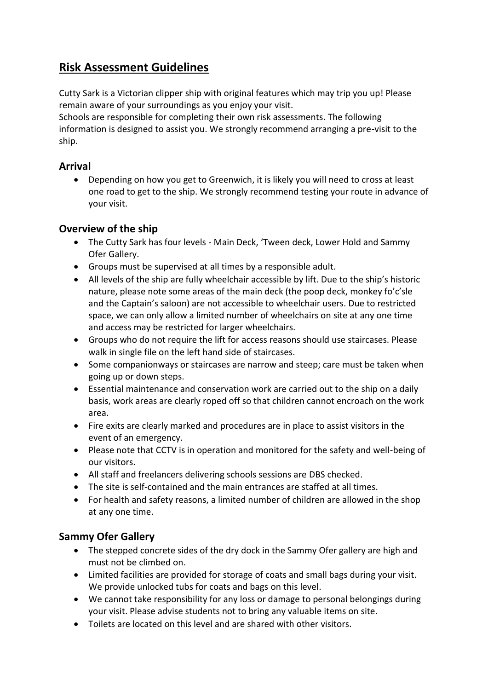# **Risk Assessment Guidelines**

Cutty Sark is a Victorian clipper ship with original features which may trip you up! Please remain aware of your surroundings as you enjoy your visit.

Schools are responsible for completing their own risk assessments. The following information is designed to assist you. We strongly recommend arranging a pre-visit to the ship.

## **Arrival**

 Depending on how you get to Greenwich, it is likely you will need to cross at least one road to get to the ship. We strongly recommend testing your route in advance of your visit.

## **Overview of the ship**

- The Cutty Sark has four levels Main Deck, 'Tween deck, Lower Hold and Sammy Ofer Gallery.
- Groups must be supervised at all times by a responsible adult.
- All levels of the ship are fully wheelchair accessible by lift. Due to the ship's historic nature, please note some areas of the main deck (the poop deck, monkey fo'c'sle and the Captain's saloon) are not accessible to wheelchair users. Due to restricted space, we can only allow a limited number of wheelchairs on site at any one time and access may be restricted for larger wheelchairs.
- Groups who do not require the lift for access reasons should use staircases. Please walk in single file on the left hand side of staircases.
- Some companionways or staircases are narrow and steep; care must be taken when going up or down steps.
- Essential maintenance and conservation work are carried out to the ship on a daily basis, work areas are clearly roped off so that children cannot encroach on the work area.
- Fire exits are clearly marked and procedures are in place to assist visitors in the event of an emergency.
- Please note that CCTV is in operation and monitored for the safety and well-being of our visitors.
- All staff and freelancers delivering schools sessions are DBS checked.
- The site is self-contained and the main entrances are staffed at all times.
- For health and safety reasons, a limited number of children are allowed in the shop at any one time.

## **Sammy Ofer Gallery**

- The stepped concrete sides of the dry dock in the Sammy Ofer gallery are high and must not be climbed on.
- Limited facilities are provided for storage of coats and small bags during your visit. We provide unlocked tubs for coats and bags on this level.
- We cannot take responsibility for any loss or damage to personal belongings during your visit. Please advise students not to bring any valuable items on site.
- Toilets are located on this level and are shared with other visitors.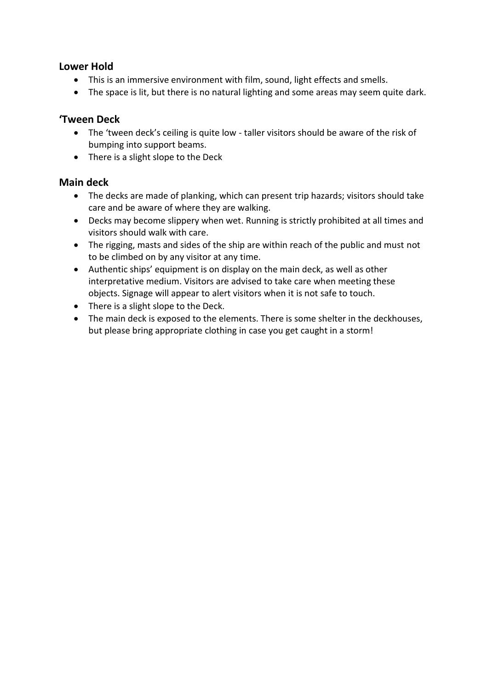## **Lower Hold**

- This is an immersive environment with film, sound, light effects and smells.
- The space is lit, but there is no natural lighting and some areas may seem quite dark.

## **'Tween Deck**

- The 'tween deck's ceiling is quite low taller visitors should be aware of the risk of bumping into support beams.
- There is a slight slope to the Deck

## **Main deck**

- The decks are made of planking, which can present trip hazards; visitors should take care and be aware of where they are walking.
- Decks may become slippery when wet. Running is strictly prohibited at all times and visitors should walk with care.
- The rigging, masts and sides of the ship are within reach of the public and must not to be climbed on by any visitor at any time.
- Authentic ships' equipment is on display on the main deck, as well as other interpretative medium. Visitors are advised to take care when meeting these objects. Signage will appear to alert visitors when it is not safe to touch.
- There is a slight slope to the Deck.
- The main deck is exposed to the elements. There is some shelter in the deckhouses, but please bring appropriate clothing in case you get caught in a storm!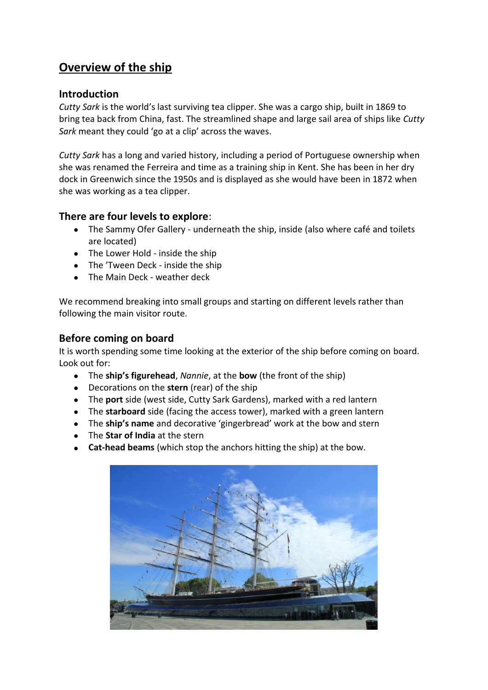# **Overview of the ship**

## **Introduction**

*Cutty Sark* is the world's last surviving tea clipper. She was a cargo ship, built in 1869 to bring tea back from China, fast. The streamlined shape and large sail area of ships like *Cutty Sark* meant they could 'go at a clip' across the waves.

*Cutty Sark* has a long and varied history, including a period of Portuguese ownership when she was renamed the Ferreira and time as a training ship in Kent. She has been in her dry dock in Greenwich since the 1950s and is displayed as she would have been in 1872 when she was working as a tea clipper.

## **There are four levels to explore**:

- The Sammy Ofer Gallery underneath the ship, inside (also where café and toilets are located)
- The Lower Hold inside the ship
- The 'Tween Deck inside the ship
- The Main Deck weather deck

We recommend breaking into small groups and starting on different levels rather than following the main visitor route.

## **Before coming on board**

It is worth spending some time looking at the exterior of the ship before coming on board. Look out for:

- The **ship's figurehead**, *Nannie*, at the **bow** (the front of the ship)
- Decorations on the **stern** (rear) of the ship
- The **port** side (west side, Cutty Sark Gardens), marked with a red lantern
- The **starboard** side (facing the access tower), marked with a green lantern
- The **ship's name** and decorative 'gingerbread' work at the bow and stern
- The **Star of India** at the stern
- **Cat-head beams** (which stop the anchors hitting the ship) at the bow.

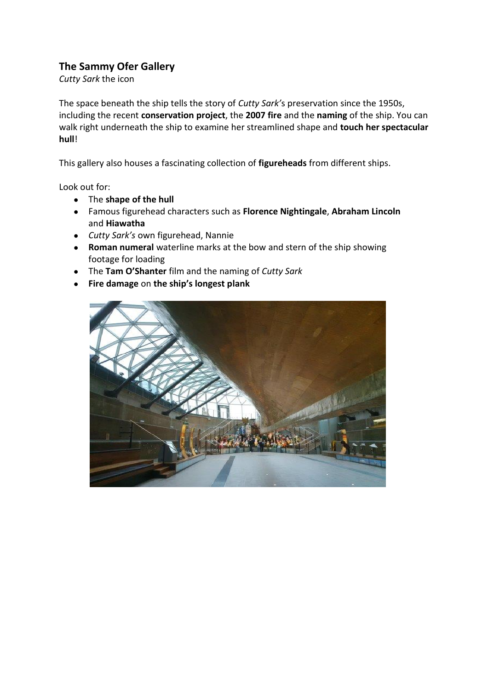## **The Sammy Ofer Gallery**

*Cutty Sark* the icon

The space beneath the ship tells the story of *Cutty Sark'*s preservation since the 1950s, including the recent **conservation project**, the **2007 fire** and the **naming** of the ship. You can walk right underneath the ship to examine her streamlined shape and **touch her spectacular hull**!

This gallery also houses a fascinating collection of **figureheads** from different ships.

- The **shape of the hull**
- Famous figurehead characters such as **Florence Nightingale**, **Abraham Lincoln** and **Hiawatha**
- *Cutty Sark's* own figurehead, Nannie
- **Roman numeral** waterline marks at the bow and stern of the ship showing footage for loading
- The **Tam O'Shanter** film and the naming of *Cutty Sark*
- **Fire damage** on **the ship's longest plank**

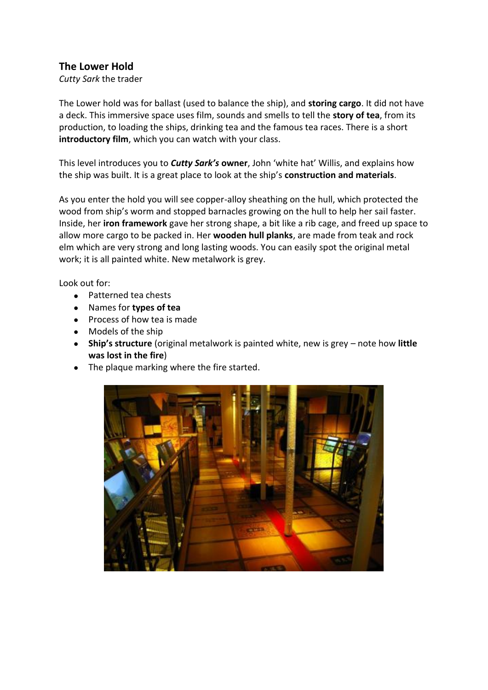## **The Lower Hold**

*Cutty Sark* the trader

The Lower hold was for ballast (used to balance the ship), and **storing cargo**. It did not have a deck. This immersive space uses film, sounds and smells to tell the **story of tea**, from its production, to loading the ships, drinking tea and the famous tea races. There is a short **introductory film**, which you can watch with your class.

This level introduces you to *Cutty Sark's* **owner**, John 'white hat' Willis, and explains how the ship was built. It is a great place to look at the ship's **construction and materials**.

As you enter the hold you will see copper-alloy sheathing on the hull, which protected the wood from ship's worm and stopped barnacles growing on the hull to help her sail faster. Inside, her **iron framework** gave her strong shape, a bit like a rib cage, and freed up space to allow more cargo to be packed in. Her **wooden hull planks**, are made from teak and rock elm which are very strong and long lasting woods. You can easily spot the original metal work; it is all painted white. New metalwork is grey.

- Patterned tea chests
- Names for **types of tea**
- Process of how tea is made
- Models of the ship
- **Ship's structure** (original metalwork is painted white, new is grey note how **little was lost in the fire**)
- The plaque marking where the fire started.

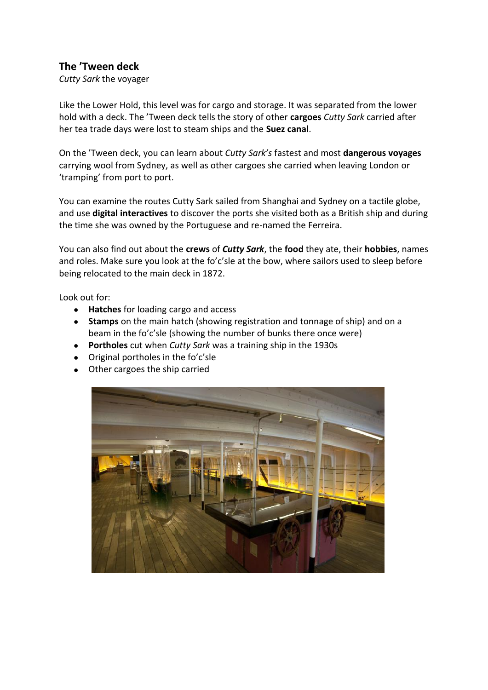## **The 'Tween deck**

*Cutty Sark* the voyager

Like the Lower Hold, this level was for cargo and storage. It was separated from the lower hold with a deck. The 'Tween deck tells the story of other **cargoes** *Cutty Sark* carried after her tea trade days were lost to steam ships and the **Suez canal**.

On the 'Tween deck, you can learn about *Cutty Sark's* fastest and most **dangerous voyages** carrying wool from Sydney, as well as other cargoes she carried when leaving London or 'tramping' from port to port.

You can examine the routes Cutty Sark sailed from Shanghai and Sydney on a tactile globe, and use **digital interactives** to discover the ports she visited both as a British ship and during the time she was owned by the Portuguese and re-named the Ferreira.

You can also find out about the **crews** of *Cutty Sark*, the **food** they ate, their **hobbies**, names and roles. Make sure you look at the fo'c'sle at the bow, where sailors used to sleep before being relocated to the main deck in 1872.

- **Hatches** for loading cargo and access
- **Stamps** on the main hatch (showing registration and tonnage of ship) and on a beam in the fo'c'sle (showing the number of bunks there once were)
- **Portholes** cut when *Cutty Sark* was a training ship in the 1930s
- Original portholes in the fo'c'sle
- Other cargoes the ship carried

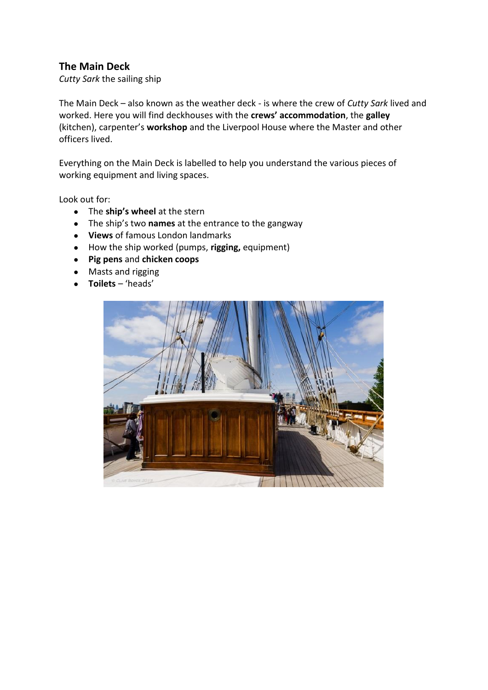## **The Main Deck**

*Cutty Sark* the sailing ship

The Main Deck – also known as the weather deck - is where the crew of *Cutty Sark* lived and worked. Here you will find deckhouses with the **crews' accommodation**, the **galley**  (kitchen), carpenter's **workshop** and the Liverpool House where the Master and other officers lived.

Everything on the Main Deck is labelled to help you understand the various pieces of working equipment and living spaces.

- The **ship's wheel** at the stern
- The ship's two **names** at the entrance to the gangway
- **Views** of famous London landmarks
- How the ship worked (pumps, **rigging,** equipment)
- **Pig pens** and **chicken coops**
- Masts and rigging
- **Toilets** 'heads'